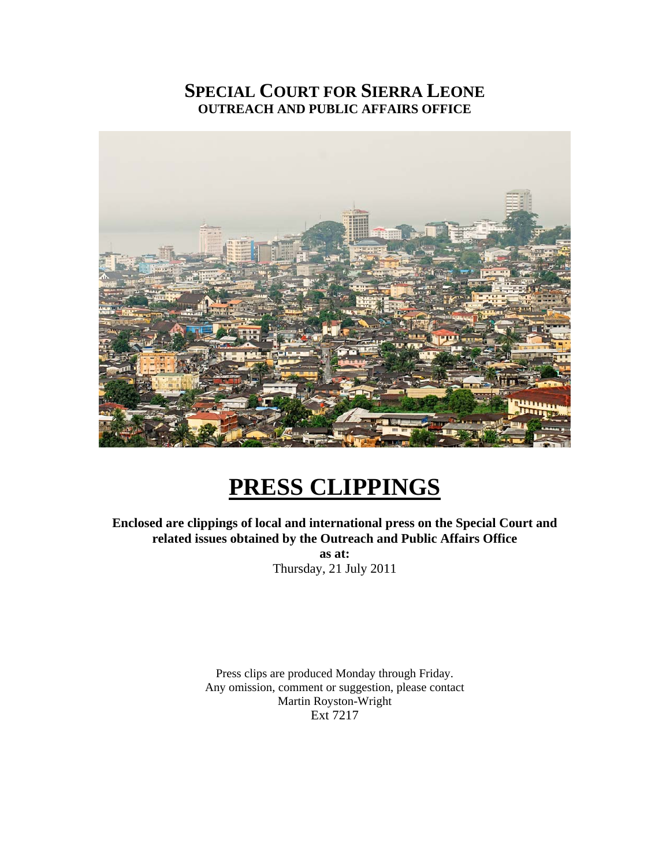# **SPECIAL COURT FOR SIERRA LEONE OUTREACH AND PUBLIC AFFAIRS OFFICE**



# **PRESS CLIPPINGS**

**Enclosed are clippings of local and international press on the Special Court and related issues obtained by the Outreach and Public Affairs Office as at:**  Thursday, 21 July 2011

> Press clips are produced Monday through Friday. Any omission, comment or suggestion, please contact Martin Royston-Wright Ext 7217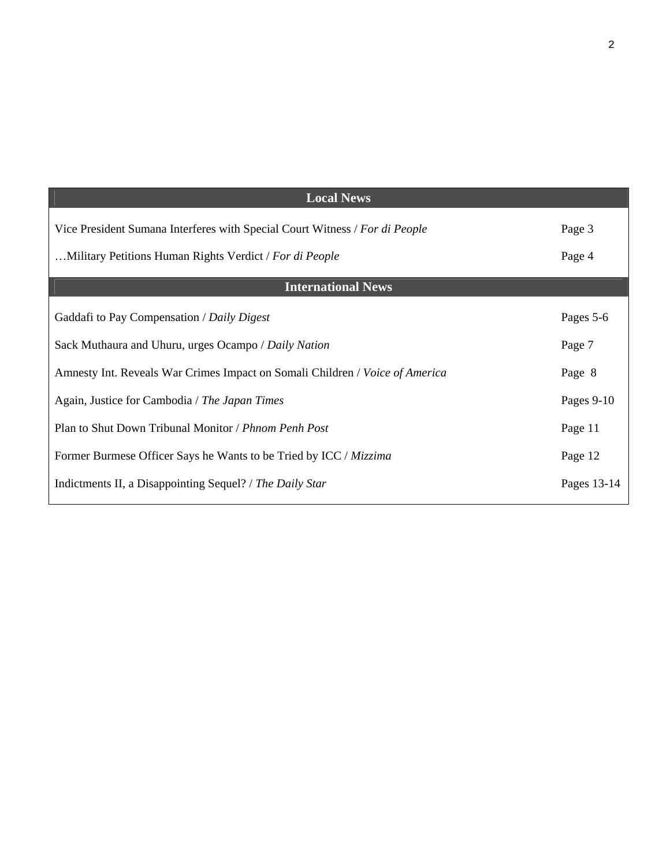| <b>Local News</b>                                                            |             |
|------------------------------------------------------------------------------|-------------|
| Vice President Sumana Interferes with Special Court Witness / For di People  | Page 3      |
| Military Petitions Human Rights Verdict / For di People                      | Page 4      |
| <b>International News</b>                                                    |             |
| Gaddafi to Pay Compensation / Daily Digest                                   | Pages 5-6   |
| Sack Muthaura and Uhuru, urges Ocampo / Daily Nation                         | Page 7      |
| Amnesty Int. Reveals War Crimes Impact on Somali Children / Voice of America | Page 8      |
| Again, Justice for Cambodia / The Japan Times                                | Pages 9-10  |
| Plan to Shut Down Tribunal Monitor / Phnom Penh Post                         | Page 11     |
| Former Burmese Officer Says he Wants to be Tried by ICC / Mizzima            | Page 12     |
| Indictments II, a Disappointing Sequel? / The Daily Star                     | Pages 13-14 |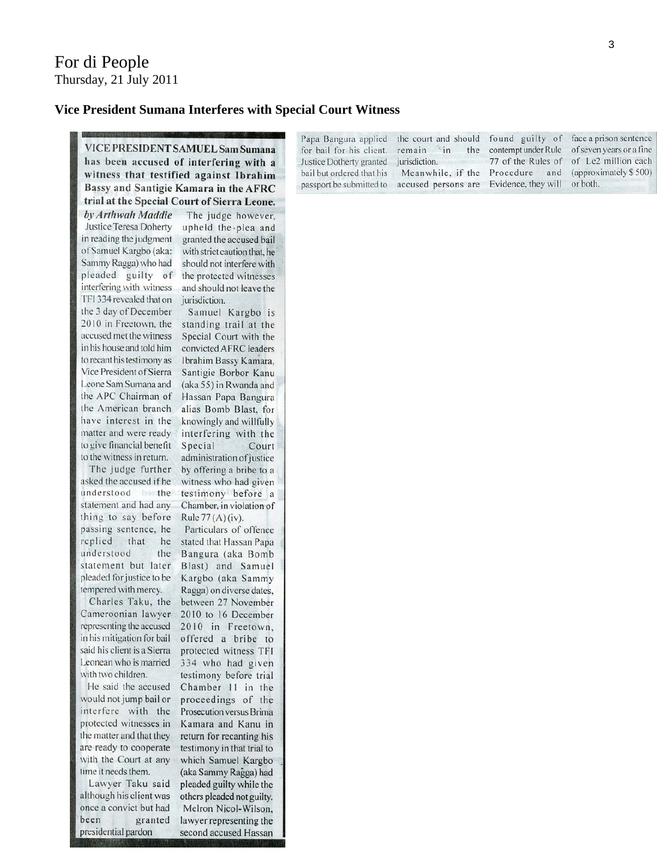#### **Vice President Sumana Interferes with Special Court Witness**

VICE PRESIDENT SAMUEL Sam Sumana has been accused of interfering with a witness that testified against Ibrahim Bassy and Santigie Kamara in the AFRC trial at the Special Court of Sierra Leone.

by Arthwah Maddie Justice Teresa Doherty in reading the judgment of Samuel Kargbo (aka: Sammy Ragga) who had pleaded guilty of interfering with witness TFI 334 revealed that on the 3 day of December 2010 in Freetown, the accused met the witness in his house and told him to recant his testimony as Vice President of Sierra Leone Sam Sumana and the APC Chairman of the American branch have interest in the matter and were ready to give financial benefit to the witness in return.

The judge further asked the accused if he understood the the statement and had any thing to say before passing sentence, he replied that he understood the statement but later pleaded for justice to be tempered with mercy.

Charles Taku, the Cameroonian lawyer representing the accused in his mitigation for bail said his client is a Sierra Leonean who is married with two children.

He said the accused would not jump bail or interfere with the protected witnesses in the matter and that they are ready to cooperate with the Court at any time it needs them.

Lawyer Taku said although his client was once a convict but had been granted presidential pardon

The judge however, upheld the plea and granted the accused bail with strict caution that, he should not interfere with the protected witnesses and should not leave the jurisdiction.

Samuel Kargbo is standing trail at the Special Court with the convicted AFRC leaders Ibrahim Bassy Kamara, Santigie Borbor Kanu (aka 55) in Rwanda and Hassan Papa Bangura alias Bomb Blast, for knowingly and willfully interfering with the Special Court administration of justice by offering a bribe to a witness who had given testimony before a Chamber, in violation of

Rule  $77(A)(iv)$ .

Particulars of offence stated that Hassan Papa Bangura (aka Bomb Blast) and Samuel Kargbo (aka Sammy Ragga) on diverse dates, between 27 November 2010 to 16 December 2010 in Freetown, offered a bribe to protected witness TFI 334 who had given testimony before trial Chamber 11 in the proceedings of the Prosecution versus Brima Kamara and Kanu in return for recanting his testimony in that trial to which Samuel Kargbo (aka Sammy Ragga) had pleaded guilty while the others pleaded not guilty. Melron Nicol-Wilson, lawyer representing the second accused Hassan

Papa Bangura applied the court and should found guilty of face a prison sentence for bail for his client. remain in contempt under Rule of seven years or a fine the Justice Dotherty granted jurisdiction. 77 of the Rules of of Le2 million each bail but ordered that his Meanwhile, if the Procedure and (approximately \$500) Evidence, they will or both. passport be submitted to accused persons are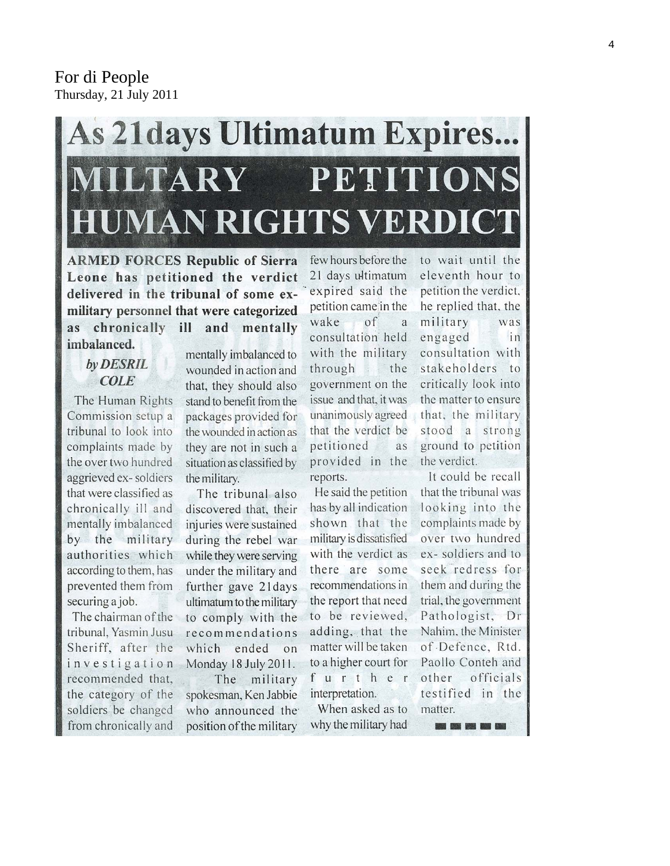# For di People Thursday, 21 July 2011

# **As 21 days Ultimatum Expires...** PETITIONS LTARY **MAN RIGHTS VERD**

**ARMED FORCES Republic of Sierra** Leone has petitioned the verdict delivered in the tribunal of some exmilitary personnel that were categorized chronically ill and mentally as imbalanced.

# by DESRIL **COLE**

The Human Rights Commission setup a tribunal to look into complaints made by the over two hundred aggrieved ex-soldiers that were classified as chronically ill and mentally imbalanced by the military authorities which according to them, has prevented them from securing a job.

The chairman of the tribunal, Yasmin Jusu Sheriff, after the investigation recommended that, the category of the soldiers be changed from chronically and

mentally imbalanced to wounded in action and that, they should also stand to benefit from the packages provided for the wounded in action as they are not in such a situation as classified by the military.

The tribunal also discovered that, their injuries were sustained during the rebel war while they were serving under the military and further gave 21 days ultimatum to the military to comply with the recommendations which ended on Monday 18 July 2011.

The military spokesman, Ken Jabbie who announced the position of the military few hours before the 21 days ultimatum expired said the petition came in the wake  $\sigma$ f  $\mathbf{a}$ consultation held with the military through the government on the issue and that, it was unanimously agreed that the verdict be petitioned as provided in the reports.

He said the petition has by all indication shown that the military is dissatisfied with the verdict as there are some recommendations in the report that need to be reviewed, adding, that the matter will be taken to a higher court for further interpretation.

When asked as to why the military had

to wait until the eleventh hour to petition the verdict, he replied that, the military was engaged in consultation with stakeholders to critically look into the matter to ensure that, the military stood a strong ground to petition the verdict.

It could be recall that the tribunal was looking into the complaints made by over two hundred ex-soldiers and to seek redress for them and during the trial, the government Pathologist, Dr Nahim, the Minister of Defence, Rtd. Paollo Conteh and other officials testified in the matter. ----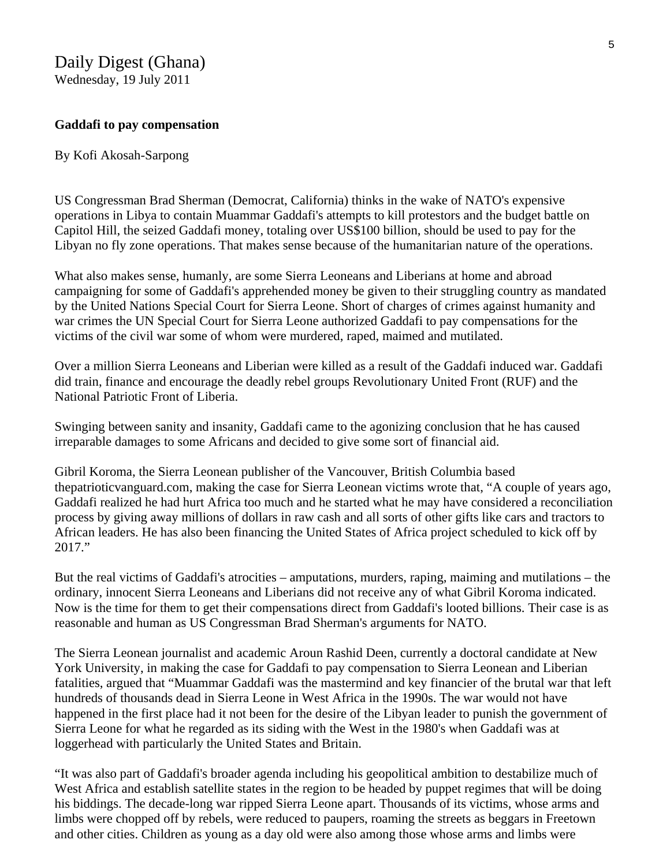# Daily Digest (Ghana)

Wednesday, 19 July 2011

#### **Gaddafi to pay compensation**

#### By Kofi Akosah-Sarpong

US Congressman Brad Sherman (Democrat, California) thinks in the wake of NATO's expensive operations in Libya to contain Muammar Gaddafi's attempts to kill protestors and the budget battle on Capitol Hill, the seized Gaddafi money, totaling over US\$100 billion, should be used to pay for the Libyan no fly zone operations. That makes sense because of the humanitarian nature of the operations.

What also makes sense, humanly, are some Sierra Leoneans and Liberians at home and abroad campaigning for some of Gaddafi's apprehended money be given to their struggling country as mandated by the United Nations Special Court for Sierra Leone. Short of charges of crimes against humanity and war crimes the UN Special Court for Sierra Leone authorized Gaddafi to pay compensations for the victims of the civil war some of whom were murdered, raped, maimed and mutilated.

Over a million Sierra Leoneans and Liberian were killed as a result of the Gaddafi induced war. Gaddafi did train, finance and encourage the deadly rebel groups Revolutionary United Front (RUF) and the National Patriotic Front of Liberia.

Swinging between sanity and insanity, Gaddafi came to the agonizing conclusion that he has caused irreparable damages to some Africans and decided to give some sort of financial aid.

Gibril Koroma, the Sierra Leonean publisher of the Vancouver, British Columbia based thepatrioticvanguard.com, making the case for Sierra Leonean victims wrote that, "A couple of years ago, Gaddafi realized he had hurt Africa too much and he started what he may have considered a reconciliation process by giving away millions of dollars in raw cash and all sorts of other gifts like cars and tractors to African leaders. He has also been financing the United States of Africa project scheduled to kick off by 2017."

But the real victims of Gaddafi's atrocities – amputations, murders, raping, maiming and mutilations – the ordinary, innocent Sierra Leoneans and Liberians did not receive any of what Gibril Koroma indicated. Now is the time for them to get their compensations direct from Gaddafi's looted billions. Their case is as reasonable and human as US Congressman Brad Sherman's arguments for NATO.

The Sierra Leonean journalist and academic Aroun Rashid Deen, currently a doctoral candidate at New York University, in making the case for Gaddafi to pay compensation to Sierra Leonean and Liberian fatalities, argued that "Muammar Gaddafi was the mastermind and key financier of the brutal war that left hundreds of thousands dead in Sierra Leone in West Africa in the 1990s. The war would not have happened in the first place had it not been for the desire of the Libyan leader to punish the government of Sierra Leone for what he regarded as its siding with the West in the 1980's when Gaddafi was at loggerhead with particularly the United States and Britain.

"It was also part of Gaddafi's broader agenda including his geopolitical ambition to destabilize much of West Africa and establish satellite states in the region to be headed by puppet regimes that will be doing his biddings. The decade-long war ripped Sierra Leone apart. Thousands of its victims, whose arms and limbs were chopped off by rebels, were reduced to paupers, roaming the streets as beggars in Freetown and other cities. Children as young as a day old were also among those whose arms and limbs were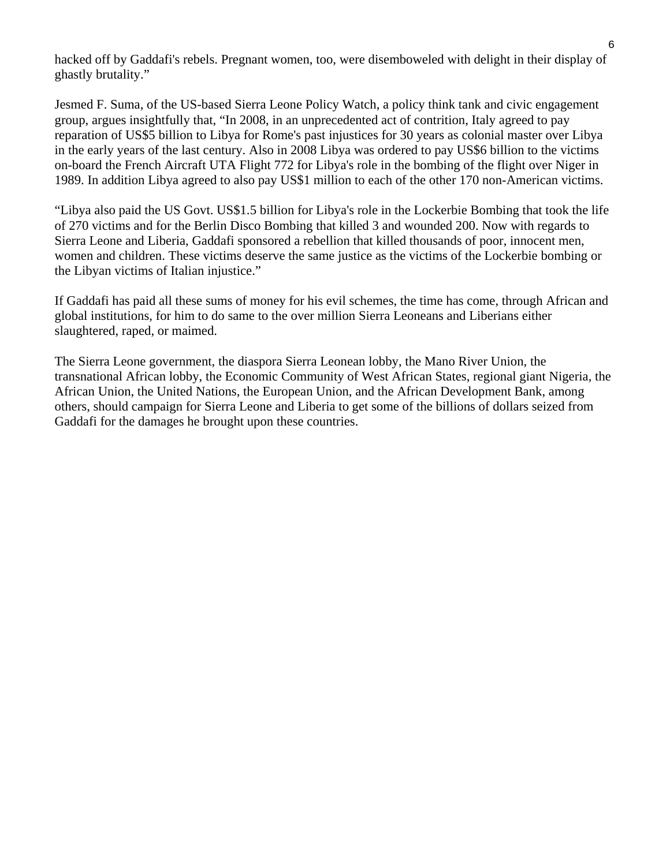hacked off by Gaddafi's rebels. Pregnant women, too, were disemboweled with delight in their display of ghastly brutality."

Jesmed F. Suma, of the US-based Sierra Leone Policy Watch, a policy think tank and civic engagement group, argues insightfully that, "In 2008, in an unprecedented act of contrition, Italy agreed to pay reparation of US\$5 billion to Libya for Rome's past injustices for 30 years as colonial master over Libya in the early years of the last century. Also in 2008 Libya was ordered to pay US\$6 billion to the victims on-board the French Aircraft UTA Flight 772 for Libya's role in the bombing of the flight over Niger in 1989. In addition Libya agreed to also pay US\$1 million to each of the other 170 non-American victims.

"Libya also paid the US Govt. US\$1.5 billion for Libya's role in the Lockerbie Bombing that took the life of 270 victims and for the Berlin Disco Bombing that killed 3 and wounded 200. Now with regards to Sierra Leone and Liberia, Gaddafi sponsored a rebellion that killed thousands of poor, innocent men, women and children. These victims deserve the same justice as the victims of the Lockerbie bombing or the Libyan victims of Italian injustice."

If Gaddafi has paid all these sums of money for his evil schemes, the time has come, through African and global institutions, for him to do same to the over million Sierra Leoneans and Liberians either slaughtered, raped, or maimed.

The Sierra Leone government, the diaspora Sierra Leonean lobby, the Mano River Union, the transnational African lobby, the Economic Community of West African States, regional giant Nigeria, the African Union, the United Nations, the European Union, and the African Development Bank, among others, should campaign for Sierra Leone and Liberia to get some of the billions of dollars seized from Gaddafi for the damages he brought upon these countries.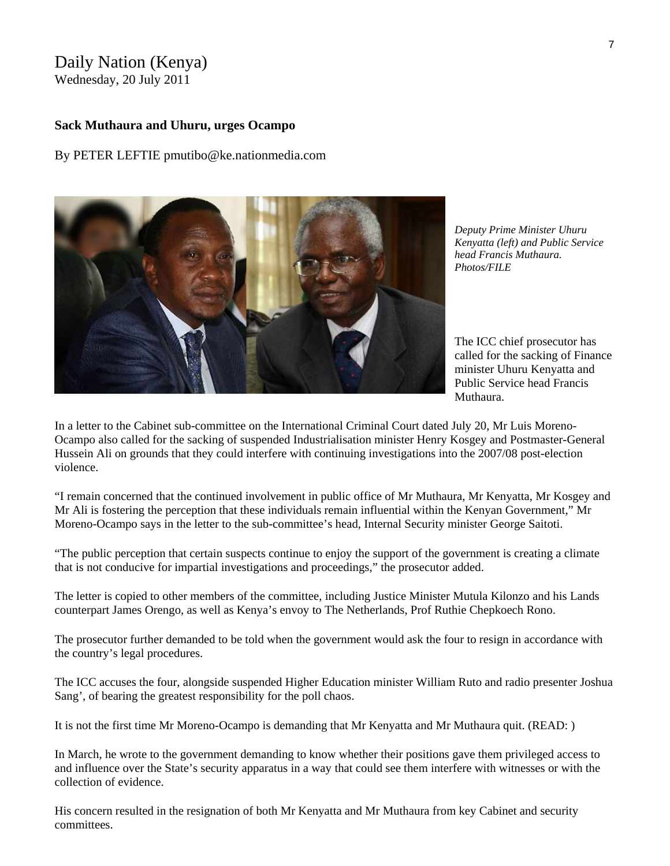# Daily Nation (Kenya)

Wednesday, 20 July 2011

#### **Sack Muthaura and Uhuru, urges Ocampo**

By PETER LEFTIE pmutibo@ke.nationmedia.com

*Deputy Prime Minister Uhuru Kenyatta (left) and Public Service head Francis Muthaura. Photos/FILE* 

The ICC chief prosecutor has called for the sacking of Finance minister Uhuru Kenyatta and Public Service head Francis Muthaura.

In a letter to the Cabinet sub-committee on the International Criminal Court dated July 20, Mr Luis Moreno-Ocampo also called for the sacking of suspended Industrialisation minister Henry Kosgey and Postmaster-General Hussein Ali on grounds that they could interfere with continuing investigations into the 2007/08 post-election violence.

"I remain concerned that the continued involvement in public office of Mr Muthaura, Mr Kenyatta, Mr Kosgey and Mr Ali is fostering the perception that these individuals remain influential within the Kenyan Government," Mr Moreno-Ocampo says in the letter to the sub-committee's head, Internal Security minister George Saitoti.

"The public perception that certain suspects continue to enjoy the support of the government is creating a climate that is not conducive for impartial investigations and proceedings," the prosecutor added.

The letter is copied to other members of the committee, including Justice Minister Mutula Kilonzo and his Lands counterpart James Orengo, as well as Kenya's envoy to The Netherlands, Prof Ruthie Chepkoech Rono.

The prosecutor further demanded to be told when the government would ask the four to resign in accordance with the country's legal procedures.

The ICC accuses the four, alongside suspended Higher Education minister William Ruto and radio presenter Joshua Sang', of bearing the greatest responsibility for the poll chaos.

It is not the first time Mr Moreno-Ocampo is demanding that Mr Kenyatta and Mr Muthaura quit. (READ: )

In March, he wrote to the government demanding to know whether their positions gave them privileged access to and influence over the State's security apparatus in a way that could see them interfere with witnesses or with the collection of evidence.

His concern resulted in the resignation of both Mr Kenyatta and Mr Muthaura from key Cabinet and security committees.

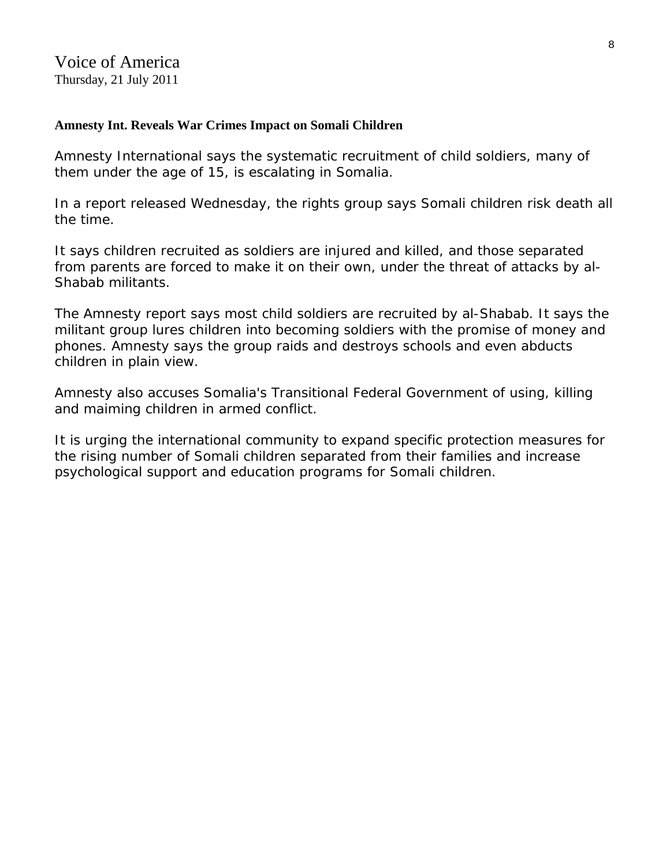## **[Amnesty Int. Reveals War Crimes Impact on Somali Children](http://blogs.voanews.com/breaking-news/2011/07/21/amnesty-int-reveals-war-crimes-impact-on-somali-children/)**

Amnesty International says the systematic recruitment of child soldiers, many of them under the age of 15, is escalating in Somalia.

In a report released Wednesday, the rights group says Somali children risk death all the time.

It says children recruited as soldiers are injured and killed, and those separated from parents are forced to make it on their own, under the threat of attacks by al-Shabab militants.

The Amnesty report says most child soldiers are recruited by al-Shabab. It says the militant group lures children into becoming soldiers with the promise of money and phones. Amnesty says the group raids and destroys schools and even abducts children in plain view.

Amnesty also accuses Somalia's Transitional Federal Government of using, killing and maiming children in armed conflict.

It is urging the international community to expand specific protection measures for the rising number of Somali children separated from their families and increase psychological support and education programs for Somali children.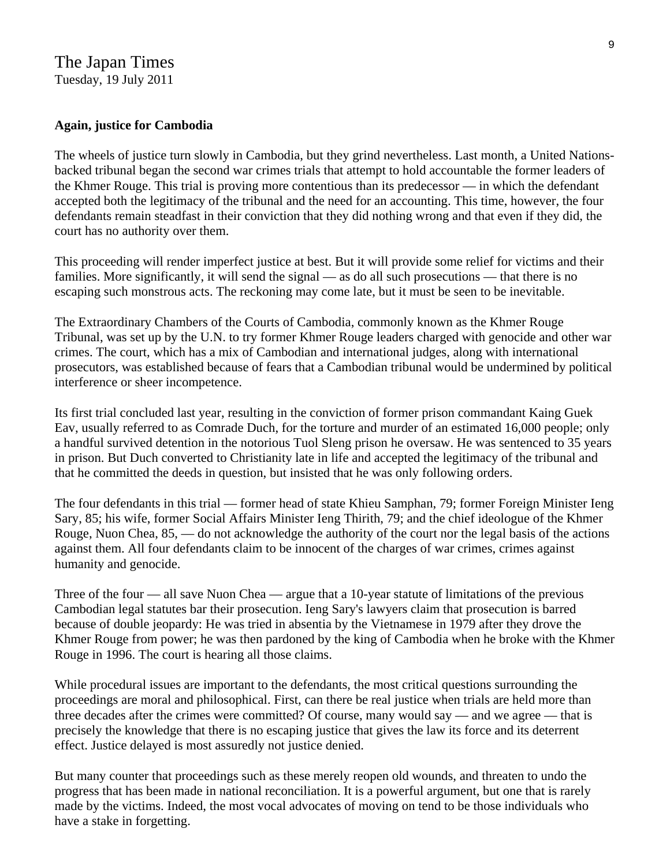# The Japan Times Tuesday, 19 July 2011

#### **Again, justice for Cambodia**

The wheels of justice turn slowly in Cambodia, but they grind nevertheless. Last month, a United Nationsbacked tribunal began the second war crimes trials that attempt to hold accountable the former leaders of the Khmer Rouge. This trial is proving more contentious than its predecessor — in which the defendant accepted both the legitimacy of the tribunal and the need for an accounting. This time, however, the four defendants remain steadfast in their conviction that they did nothing wrong and that even if they did, the court has no authority over them.

This proceeding will render imperfect justice at best. But it will provide some relief for victims and their families. More significantly, it will send the signal — as do all such prosecutions — that there is no escaping such monstrous acts. The reckoning may come late, but it must be seen to be inevitable.

The Extraordinary Chambers of the Courts of Cambodia, commonly known as the Khmer Rouge Tribunal, was set up by the U.N. to try former Khmer Rouge leaders charged with genocide and other war crimes. The court, which has a mix of Cambodian and international judges, along with international prosecutors, was established because of fears that a Cambodian tribunal would be undermined by political interference or sheer incompetence.

Its first trial concluded last year, resulting in the conviction of former prison commandant Kaing Guek Eav, usually referred to as Comrade Duch, for the torture and murder of an estimated 16,000 people; only a handful survived detention in the notorious Tuol Sleng prison he oversaw. He was sentenced to 35 years in prison. But Duch converted to Christianity late in life and accepted the legitimacy of the tribunal and that he committed the deeds in question, but insisted that he was only following orders.

The four defendants in this trial — former head of state Khieu Samphan, 79; former Foreign Minister Ieng Sary, 85; his wife, former Social Affairs Minister Ieng Thirith, 79; and the chief ideologue of the Khmer Rouge, Nuon Chea, 85, — do not acknowledge the authority of the court nor the legal basis of the actions against them. All four defendants claim to be innocent of the charges of war crimes, crimes against humanity and genocide.

Three of the four — all save Nuon Chea — argue that a 10-year statute of limitations of the previous Cambodian legal statutes bar their prosecution. Ieng Sary's lawyers claim that prosecution is barred because of double jeopardy: He was tried in absentia by the Vietnamese in 1979 after they drove the Khmer Rouge from power; he was then pardoned by the king of Cambodia when he broke with the Khmer Rouge in 1996. The court is hearing all those claims.

While procedural issues are important to the defendants, the most critical questions surrounding the proceedings are moral and philosophical. First, can there be real justice when trials are held more than three decades after the crimes were committed? Of course, many would say — and we agree — that is precisely the knowledge that there is no escaping justice that gives the law its force and its deterrent effect. Justice delayed is most assuredly not justice denied.

But many counter that proceedings such as these merely reopen old wounds, and threaten to undo the progress that has been made in national reconciliation. It is a powerful argument, but one that is rarely made by the victims. Indeed, the most vocal advocates of moving on tend to be those individuals who have a stake in forgetting.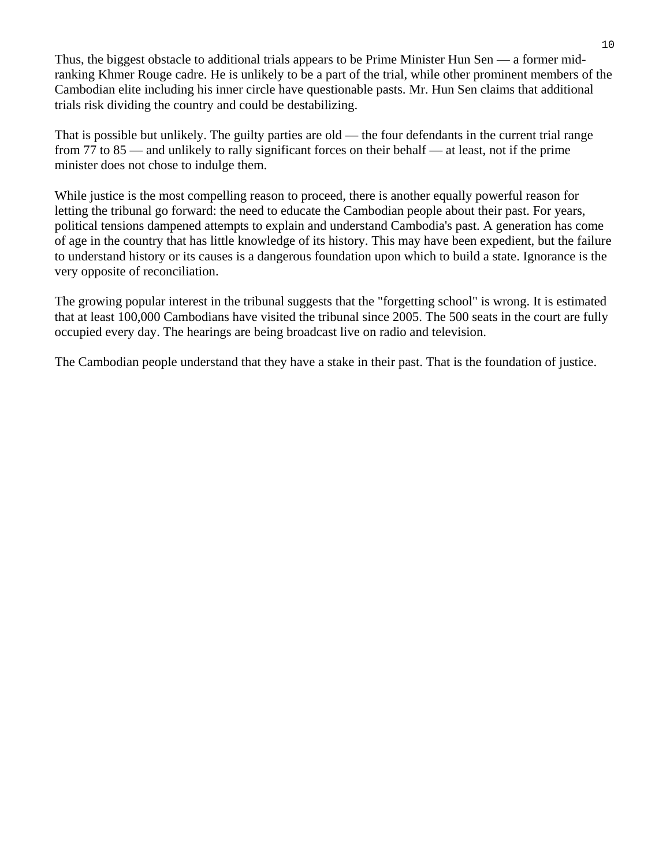Thus, the biggest obstacle to additional trials appears to be Prime Minister Hun Sen — a former midranking Khmer Rouge cadre. He is unlikely to be a part of the trial, while other prominent members of the Cambodian elite including his inner circle have questionable pasts. Mr. Hun Sen claims that additional trials risk dividing the country and could be destabilizing.

That is possible but unlikely. The guilty parties are old — the four defendants in the current trial range from 77 to 85 — and unlikely to rally significant forces on their behalf — at least, not if the prime minister does not chose to indulge them.

While justice is the most compelling reason to proceed, there is another equally powerful reason for letting the tribunal go forward: the need to educate the Cambodian people about their past. For years, political tensions dampened attempts to explain and understand Cambodia's past. A generation has come of age in the country that has little knowledge of its history. This may have been expedient, but the failure to understand history or its causes is a dangerous foundation upon which to build a state. Ignorance is the very opposite of reconciliation.

The growing popular interest in the tribunal suggests that the "forgetting school" is wrong. It is estimated that at least 100,000 Cambodians have visited the tribunal since 2005. The 500 seats in the court are fully occupied every day. The hearings are being broadcast live on radio and television.

The Cambodian people understand that they have a stake in their past. That is the foundation of justice.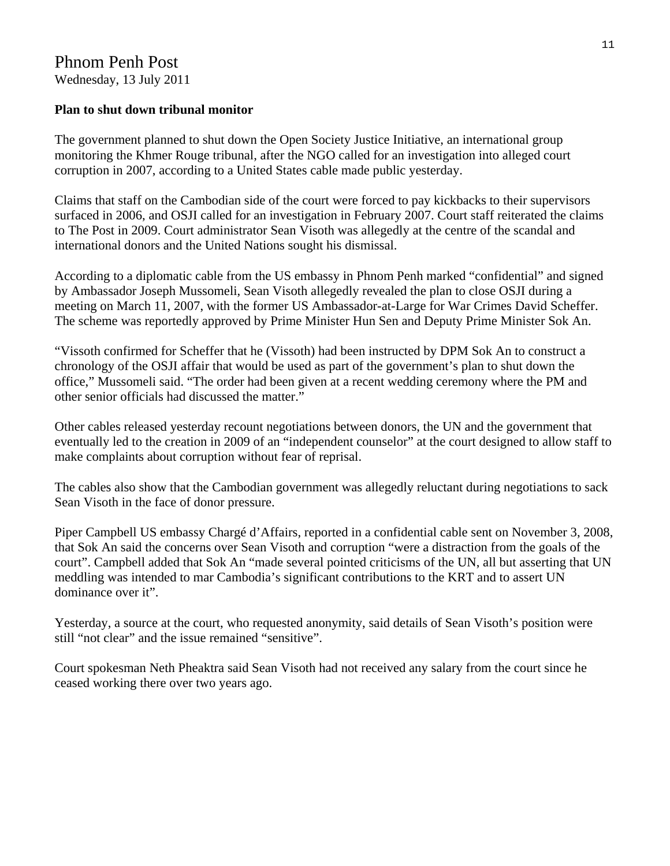# Phnom Penh Post Wednesday, 13 July 2011

### **Plan to shut down tribunal monitor**

The government planned to shut down the Open Society Justice Initiative, an international group monitoring the Khmer Rouge tribunal, after the NGO called for an investigation into alleged court corruption in 2007, according to a United States cable made public yesterday.

Claims that staff on the Cambodian side of the court were forced to pay kickbacks to their supervisors surfaced in 2006, and OSJI called for an investigation in February 2007. Court staff reiterated the claims to The Post in 2009. Court administrator Sean Visoth was allegedly at the centre of the scandal and international donors and the United Nations sought his dismissal.

According to a diplomatic cable from the US embassy in Phnom Penh marked "confidential" and signed by Ambassador Joseph Mussomeli, Sean Visoth allegedly revealed the plan to close OSJI during a meeting on March 11, 2007, with the former US Ambassador-at-Large for War Crimes David Scheffer. The scheme was reportedly approved by Prime Minister Hun Sen and Deputy Prime Minister Sok An.

"Vissoth confirmed for Scheffer that he (Vissoth) had been instructed by DPM Sok An to construct a chronology of the OSJI affair that would be used as part of the government's plan to shut down the office," Mussomeli said. "The order had been given at a recent wedding ceremony where the PM and other senior officials had discussed the matter."

Other cables released yesterday recount negotiations between donors, the UN and the government that eventually led to the creation in 2009 of an "independent counselor" at the court designed to allow staff to make complaints about corruption without fear of reprisal.

The cables also show that the Cambodian government was allegedly reluctant during negotiations to sack Sean Visoth in the face of donor pressure.

Piper Campbell US embassy Chargé d'Affairs, reported in a confidential cable sent on November 3, 2008, that Sok An said the concerns over Sean Visoth and corruption "were a distraction from the goals of the court". Campbell added that Sok An "made several pointed criticisms of the UN, all but asserting that UN meddling was intended to mar Cambodia's significant contributions to the KRT and to assert UN dominance over it".

Yesterday, a source at the court, who requested anonymity, said details of Sean Visoth's position were still "not clear" and the issue remained "sensitive".

Court spokesman Neth Pheaktra said Sean Visoth had not received any salary from the court since he ceased working there over two years ago.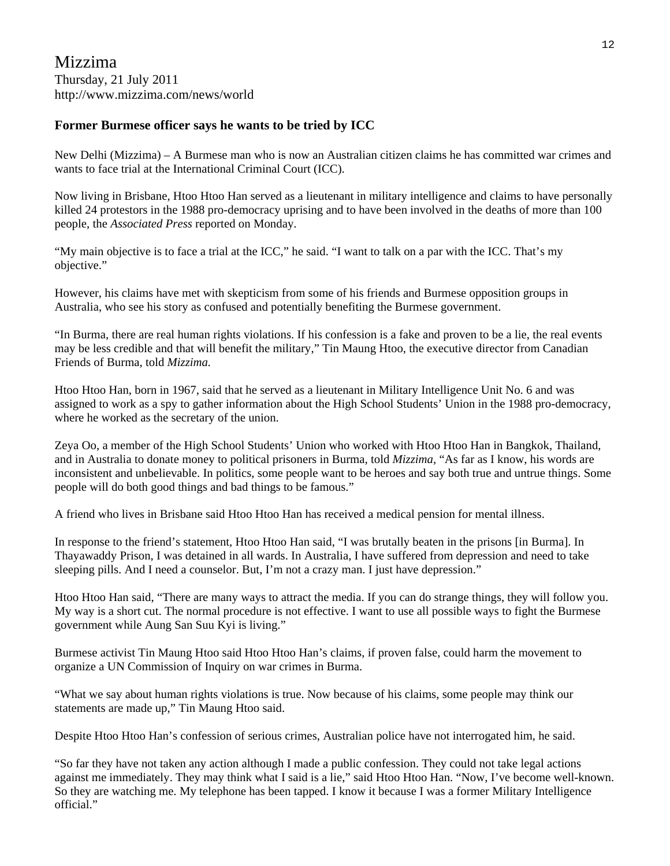#### **Former Burmese officer says he wants to be tried by ICC**

New Delhi (Mizzima) – A Burmese man who is now an Australian citizen claims he has committed war crimes and wants to face trial at the International Criminal Court (ICC).

Now living in Brisbane, Htoo Htoo Han served as a lieutenant in military intelligence and claims to have personally killed 24 protestors in the 1988 pro-democracy uprising and to have been involved in the deaths of more than 100 people, the *Associated Press* reported on Monday.

"My main objective is to face a trial at the ICC," he said. "I want to talk on a par with the ICC. That's my objective."

However, his claims have met with skepticism from some of his friends and Burmese opposition groups in Australia, who see his story as confused and potentially benefiting the Burmese government.

"In Burma, there are real human rights violations. If his confession is a fake and proven to be a lie, the real events may be less credible and that will benefit the military," Tin Maung Htoo, the executive director from Canadian Friends of Burma, told *Mizzima.*

Htoo Htoo Han, born in 1967, said that he served as a lieutenant in Military Intelligence Unit No. 6 and was assigned to work as a spy to gather information about the High School Students' Union in the 1988 pro-democracy, where he worked as the secretary of the union.

Zeya Oo, a member of the High School Students' Union who worked with Htoo Htoo Han in Bangkok, Thailand, and in Australia to donate money to political prisoners in Burma, told *Mizzima,* "As far as I know, his words are inconsistent and unbelievable. In politics, some people want to be heroes and say both true and untrue things. Some people will do both good things and bad things to be famous."

A friend who lives in Brisbane said Htoo Htoo Han has received a medical pension for mental illness.

In response to the friend's statement, Htoo Htoo Han said, "I was brutally beaten in the prisons [in Burma]. In Thayawaddy Prison, I was detained in all wards. In Australia, I have suffered from depression and need to take sleeping pills. And I need a counselor. But, I'm not a crazy man. I just have depression."

Htoo Htoo Han said, "There are many ways to attract the media. If you can do strange things, they will follow you. My way is a short cut. The normal procedure is not effective. I want to use all possible ways to fight the Burmese government while Aung San Suu Kyi is living."

Burmese activist Tin Maung Htoo said Htoo Htoo Han's claims, if proven false, could harm the movement to organize a UN Commission of Inquiry on war crimes in Burma.

"What we say about human rights violations is true. Now because of his claims, some people may think our statements are made up," Tin Maung Htoo said.

Despite Htoo Htoo Han's confession of serious crimes, Australian police have not interrogated him, he said.

"So far they have not taken any action although I made a public confession. They could not take legal actions against me immediately. They may think what I said is a lie," said Htoo Htoo Han. "Now, I've become well-known. So they are watching me. My telephone has been tapped. I know it because I was a former Military Intelligence official."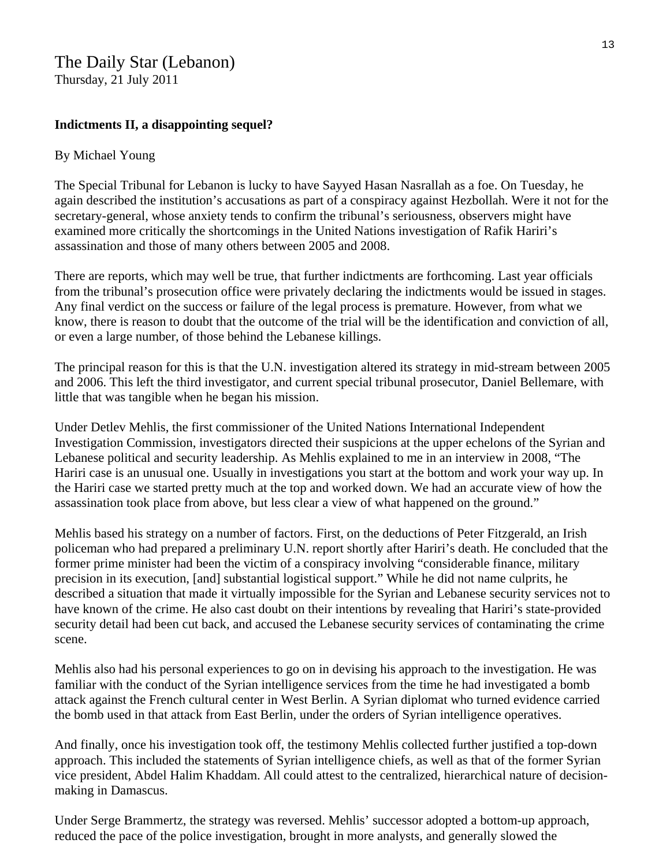# The Daily Star (Lebanon) Thursday, 21 July 2011

# **Indictments II, a disappointing sequel?**

### By [Michael Young](http://www.dailystar.com.lb/Michael-Young.ashx)

The Special Tribunal for Lebanon is lucky to have Sayyed Hasan Nasrallah as a foe. On Tuesday, he again described the institution's accusations as part of a conspiracy against Hezbollah. Were it not for the secretary-general, whose anxiety tends to confirm the tribunal's seriousness, observers might have examined more critically the shortcomings in the United Nations investigation of Rafik Hariri's assassination and those of many others between 2005 and 2008.

There are reports, which may well be true, that further indictments are forthcoming. Last year officials from the tribunal's prosecution office were privately declaring the indictments would be issued in stages. Any final verdict on the success or failure of the legal process is premature. However, from what we know, there is reason to doubt that the outcome of the trial will be the identification and conviction of all, or even a large number, of those behind the Lebanese killings.

The principal reason for this is that the U.N. investigation altered its strategy in mid-stream between 2005 and 2006. This left the third investigator, and current special tribunal prosecutor, Daniel Bellemare, with little that was tangible when he began his mission.

Under Detlev Mehlis, the first commissioner of the United Nations International Independent Investigation Commission, investigators directed their suspicions at the upper echelons of the Syrian and Lebanese political and security leadership. As Mehlis explained to me in an interview in 2008, "The Hariri case is an unusual one. Usually in investigations you start at the bottom and work your way up. In the Hariri case we started pretty much at the top and worked down. We had an accurate view of how the assassination took place from above, but less clear a view of what happened on the ground."

Mehlis based his strategy on a number of factors. First, on the deductions of Peter Fitzgerald, an Irish policeman who had prepared a preliminary U.N. report shortly after Hariri's death. He concluded that the former prime minister had been the victim of a conspiracy involving "considerable finance, military precision in its execution, [and] substantial logistical support." While he did not name culprits, he described a situation that made it virtually impossible for the Syrian and Lebanese security services not to have known of the crime. He also cast doubt on their intentions by revealing that Hariri's state-provided security detail had been cut back, and accused the Lebanese security services of contaminating the crime scene.

Mehlis also had his personal experiences to go on in devising his approach to the investigation. He was familiar with the conduct of the Syrian intelligence services from the time he had investigated a bomb attack against the French cultural center in West Berlin. A Syrian diplomat who turned evidence carried the bomb used in that attack from East Berlin, under the orders of Syrian intelligence operatives.

And finally, once his investigation took off, the testimony Mehlis collected further justified a top-down approach. This included the statements of Syrian intelligence chiefs, as well as that of the former Syrian vice president, Abdel Halim Khaddam. All could attest to the centralized, hierarchical nature of decisionmaking in Damascus.

Under Serge Brammertz, the strategy was reversed. Mehlis' successor adopted a bottom-up approach, reduced the pace of the police investigation, brought in more analysts, and generally slowed the